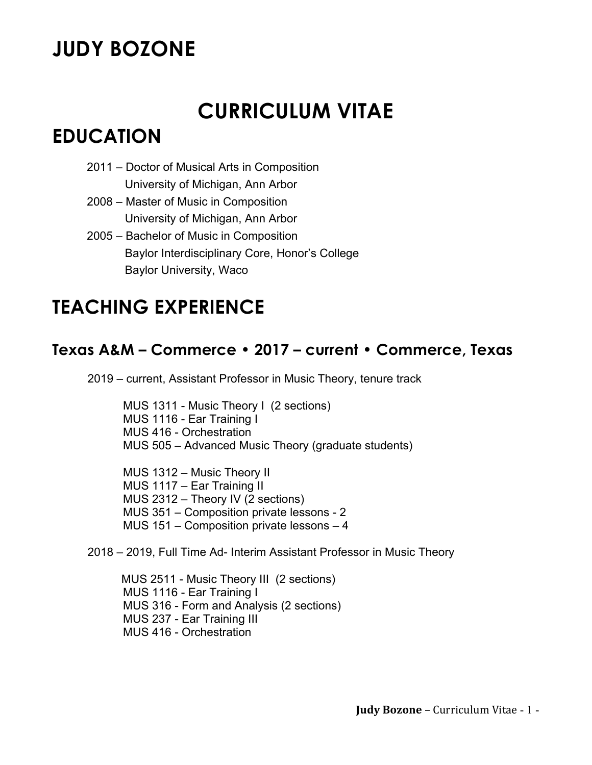# **JUDY BOZONE**

# **CURRICULUM VITAE**

## **EDUCATION**

- 2011 Doctor of Musical Arts in Composition University of Michigan, Ann Arbor
- 2008 Master of Music in Composition University of Michigan, Ann Arbor
- 2005 Bachelor of Music in Composition Baylor Interdisciplinary Core, Honor's College Baylor University, Waco

# **TEACHING EXPERIENCE**

## **Texas A&M – Commerce • 2017 – current • Commerce, Texas**

2019 – current, Assistant Professor in Music Theory, tenure track

 MUS 1311 - Music Theory I (2 sections) MUS 1116 - Ear Training I MUS 416 - Orchestration MUS 505 – Advanced Music Theory (graduate students)

 MUS 1312 – Music Theory II MUS 1117 – Ear Training II MUS 2312 – Theory IV (2 sections) MUS 351 – Composition private lessons - 2 MUS 151 – Composition private lessons – 4

2018 – 2019, Full Time Ad- Interim Assistant Professor in Music Theory

MUS 2511 - Music Theory III (2 sections) MUS 1116 - Ear Training I MUS 316 - Form and Analysis (2 sections) MUS 237 - Ear Training III MUS 416 - Orchestration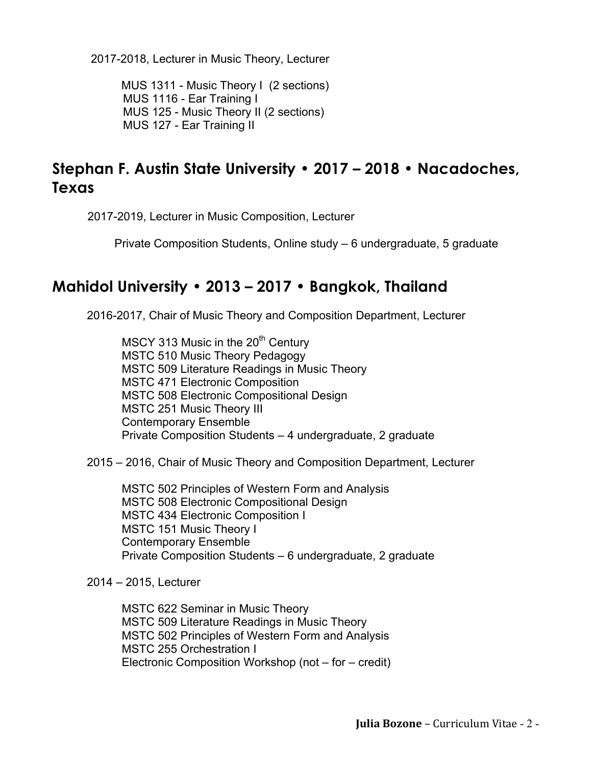2017-2018, Lecturer in Music Theory, Lecturer

MUS 1311 - Music Theory I (2 sections) MUS 1116 - Ear Training I MUS 125 - Music Theory II (2 sections) MUS 127 - Ear Training II

## **Stephan F. Austin State University • 2017 – 2018 • Nacadoches, Texas**

2017-2019, Lecturer in Music Composition, Lecturer

Private Composition Students, Online study – 6 undergraduate, 5 graduate

### **Mahidol University • 2013 – 2017 • Bangkok, Thailand**

2016-2017, Chair of Music Theory and Composition Department, Lecturer

 $MSCY$  313 Music in the 20<sup>th</sup> Century MSTC 510 Music Theory Pedagogy MSTC 509 Literature Readings in Music Theory MSTC 471 Electronic Composition MSTC 508 Electronic Compositional Design MSTC 251 Music Theory III Contemporary Ensemble Private Composition Students – 4 undergraduate, 2 graduate

2015 – 2016, Chair of Music Theory and Composition Department, Lecturer

MSTC 502 Principles of Western Form and Analysis MSTC 508 Electronic Compositional Design MSTC 434 Electronic Composition I MSTC 151 Music Theory I Contemporary Ensemble Private Composition Students – 6 undergraduate, 2 graduate

### 2014 – 2015, Lecturer

MSTC 622 Seminar in Music Theory MSTC 509 Literature Readings in Music Theory MSTC 502 Principles of Western Form and Analysis MSTC 255 Orchestration I Electronic Composition Workshop (not – for – credit)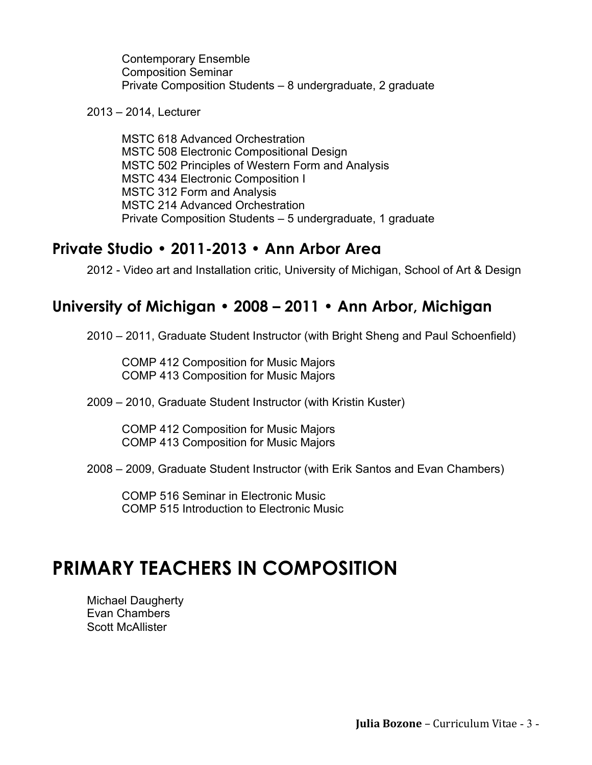Contemporary Ensemble Composition Seminar Private Composition Students – 8 undergraduate, 2 graduate

2013 – 2014, Lecturer

MSTC 618 Advanced Orchestration MSTC 508 Electronic Compositional Design MSTC 502 Principles of Western Form and Analysis MSTC 434 Electronic Composition I MSTC 312 Form and Analysis MSTC 214 Advanced Orchestration Private Composition Students – 5 undergraduate, 1 graduate

### **Private Studio • 2011-2013 • Ann Arbor Area**

2012 - Video art and Installation critic, University of Michigan, School of Art & Design

### **University of Michigan • 2008 – 2011 • Ann Arbor, Michigan**

2010 – 2011, Graduate Student Instructor (with Bright Sheng and Paul Schoenfield)

COMP 412 Composition for Music Majors COMP 413 Composition for Music Majors

2009 – 2010, Graduate Student Instructor (with Kristin Kuster)

COMP 412 Composition for Music Majors COMP 413 Composition for Music Majors

2008 – 2009, Graduate Student Instructor (with Erik Santos and Evan Chambers)

COMP 516 Seminar in Electronic Music COMP 515 Introduction to Electronic Music

# **PRIMARY TEACHERS IN COMPOSITION**

Michael Daugherty Evan Chambers Scott McAllister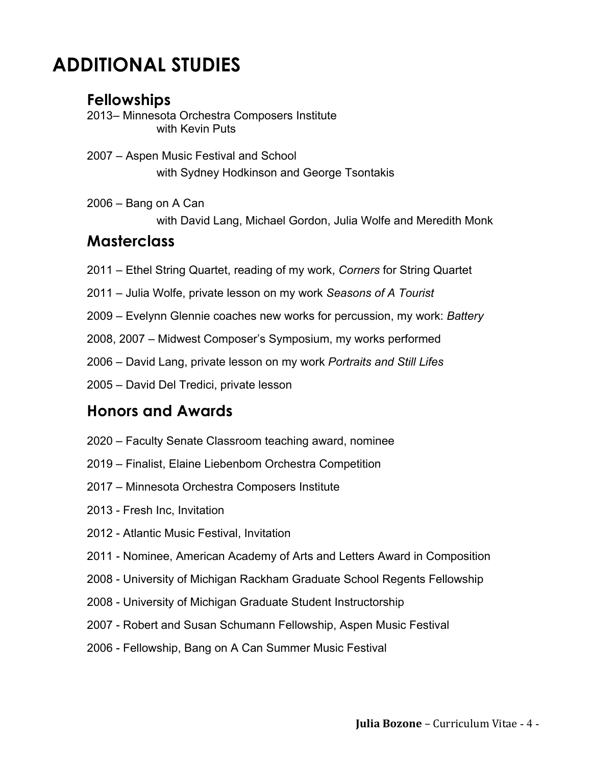# **ADDITIONAL STUDIES**

### **Fellowships**

2013– Minnesota Orchestra Composers Institute with Kevin Puts

- 2007 Aspen Music Festival and School with Sydney Hodkinson and George Tsontakis
- 2006 Bang on A Can

with David Lang, Michael Gordon, Julia Wolfe and Meredith Monk

### **Masterclass**

- 2011 Ethel String Quartet, reading of my work, *Corners* for String Quartet
- 2011 Julia Wolfe, private lesson on my work *Seasons of A Tourist*
- 2009 Evelynn Glennie coaches new works for percussion, my work: *Battery*
- 2008, 2007 Midwest Composer's Symposium, my works performed
- 2006 David Lang, private lesson on my work *Portraits and Still Lifes*
- 2005 David Del Tredici, private lesson

### **Honors and Awards**

- 2020 Faculty Senate Classroom teaching award, nominee
- 2019 Finalist, Elaine Liebenbom Orchestra Competition
- 2017 Minnesota Orchestra Composers Institute
- 2013 Fresh Inc, Invitation
- 2012 Atlantic Music Festival, Invitation
- 2011 Nominee, American Academy of Arts and Letters Award in Composition
- 2008 University of Michigan Rackham Graduate School Regents Fellowship
- 2008 University of Michigan Graduate Student Instructorship
- 2007 Robert and Susan Schumann Fellowship, Aspen Music Festival
- 2006 Fellowship, Bang on A Can Summer Music Festival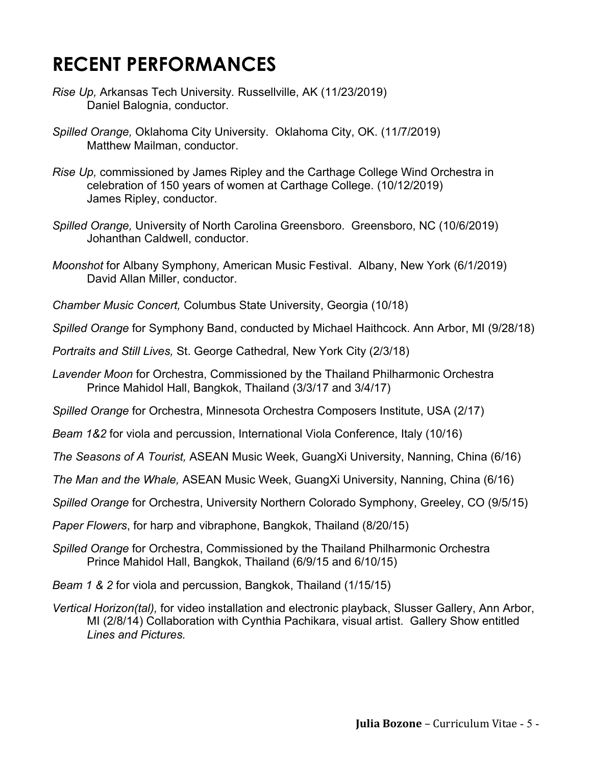# **RECENT PERFORMANCES**

- *Rise Up,* Arkansas Tech University*.* Russellville, AK (11/23/2019) Daniel Balognia, conductor.
- *Spilled Orange,* Oklahoma City University. Oklahoma City, OK. (11/7/2019) Matthew Mailman, conductor.
- *Rise Up,* commissioned by James Ripley and the Carthage College Wind Orchestra in celebration of 150 years of women at Carthage College. (10/12/2019) James Ripley, conductor.
- *Spilled Orange,* University of North Carolina Greensboro. Greensboro, NC (10/6/2019) Johanthan Caldwell, conductor.
- *Moonshot* for Albany Symphony*,* American Music Festival. Albany, New York (6/1/2019) David Allan Miller, conductor.
- *Chamber Music Concert,* Columbus State University, Georgia (10/18)
- *Spilled Orange* for Symphony Band, conducted by Michael Haithcock. Ann Arbor, MI (9/28/18)
- *Portraits and Still Lives,* St. George Cathedral*,* New York City (2/3/18)
- *Lavender Moon* for Orchestra, Commissioned by the Thailand Philharmonic Orchestra Prince Mahidol Hall, Bangkok, Thailand (3/3/17 and 3/4/17)
- *Spilled Orange* for Orchestra, Minnesota Orchestra Composers Institute, USA (2/17)
- *Beam 1&2* for viola and percussion, International Viola Conference, Italy (10/16)
- *The Seasons of A Tourist,* ASEAN Music Week, GuangXi University, Nanning, China (6/16)
- *The Man and the Whale,* ASEAN Music Week, GuangXi University, Nanning, China (6/16)
- *Spilled Orange* for Orchestra, University Northern Colorado Symphony, Greeley, CO (9/5/15)
- *Paper Flowers*, for harp and vibraphone, Bangkok, Thailand (8/20/15)
- *Spilled Orange* for Orchestra, Commissioned by the Thailand Philharmonic Orchestra Prince Mahidol Hall, Bangkok, Thailand (6/9/15 and 6/10/15)
- *Beam 1 & 2* for viola and percussion, Bangkok, Thailand (1/15/15)
- *Vertical Horizon(tal),* for video installation and electronic playback, Slusser Gallery, Ann Arbor, MI (2/8/14) Collaboration with Cynthia Pachikara, visual artist. Gallery Show entitled *Lines and Pictures.*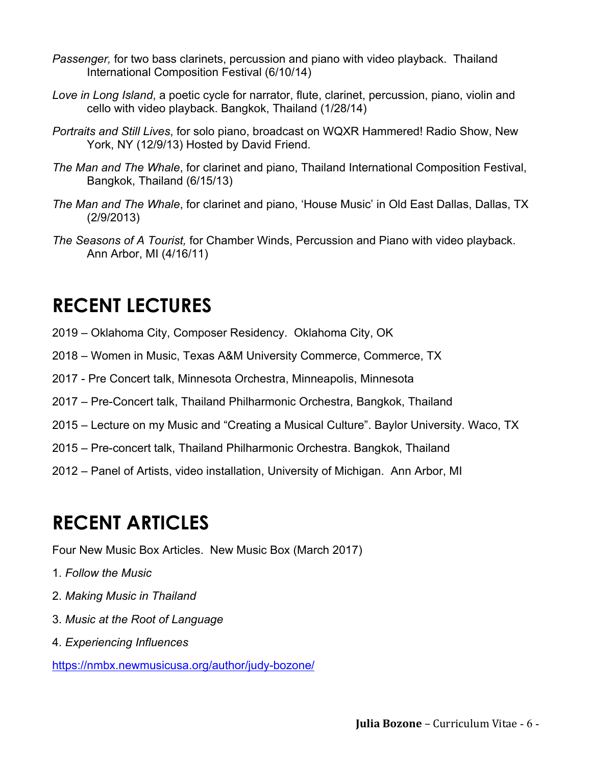- *Passenger,* for two bass clarinets, percussion and piano with video playback. Thailand International Composition Festival (6/10/14)
- *Love in Long Island*, a poetic cycle for narrator, flute, clarinet, percussion, piano, violin and cello with video playback. Bangkok, Thailand (1/28/14)
- *Portraits and Still Lives*, for solo piano, broadcast on WQXR Hammered! Radio Show, New York, NY (12/9/13) Hosted by David Friend.
- *The Man and The Whale*, for clarinet and piano, Thailand International Composition Festival, Bangkok, Thailand (6/15/13)
- *The Man and The Whale*, for clarinet and piano, 'House Music' in Old East Dallas, Dallas, TX (2/9/2013)
- *The Seasons of A Tourist,* for Chamber Winds, Percussion and Piano with video playback. Ann Arbor, MI (4/16/11)

# **RECENT LECTURES**

- 2019 Oklahoma City, Composer Residency. Oklahoma City, OK
- 2018 Women in Music, Texas A&M University Commerce, Commerce, TX
- 2017 Pre Concert talk, Minnesota Orchestra, Minneapolis, Minnesota
- 2017 Pre-Concert talk, Thailand Philharmonic Orchestra, Bangkok, Thailand
- 2015 Lecture on my Music and "Creating a Musical Culture". Baylor University. Waco, TX
- 2015 Pre-concert talk, Thailand Philharmonic Orchestra. Bangkok, Thailand
- 2012 Panel of Artists, video installation, University of Michigan. Ann Arbor, MI

# **RECENT ARTICLES**

Four New Music Box Articles. New Music Box (March 2017)

- 1. *Follow the Music*
- 2. *Making Music in Thailand*
- 3. *Music at the Root of Language*
- 4. *Experiencing Influences*

https://nmbx.newmusicusa.org/author/judy-bozone/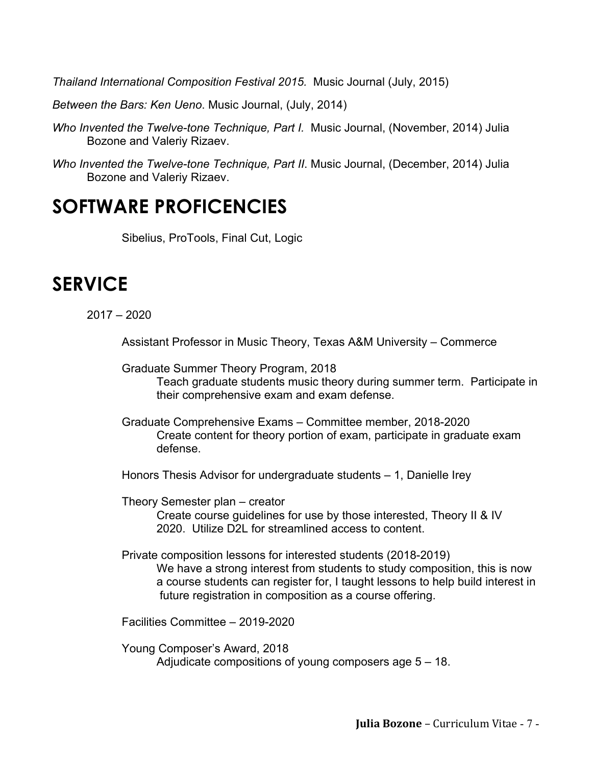*Thailand International Composition Festival 2015.* Music Journal (July, 2015)

*Between the Bars: Ken Ueno*. Music Journal, (July, 2014)

- *Who Invented the Twelve-tone Technique, Part I.* Music Journal, (November, 2014) Julia Bozone and Valeriy Rizaev.
- *Who Invented the Twelve-tone Technique, Part II*. Music Journal, (December, 2014) Julia Bozone and Valeriy Rizaev.

## **SOFTWARE PROFICENCIES**

Sibelius, ProTools, Final Cut, Logic

## **SERVICE**

2017 – 2020

Assistant Professor in Music Theory, Texas A&M University – Commerce

Graduate Summer Theory Program, 2018

Teach graduate students music theory during summer term. Participate in their comprehensive exam and exam defense.

- Graduate Comprehensive Exams Committee member, 2018-2020 Create content for theory portion of exam, participate in graduate exam defense.
- Honors Thesis Advisor for undergraduate students 1, Danielle Irey

Theory Semester plan – creator

Create course guidelines for use by those interested, Theory II & IV 2020. Utilize D2L for streamlined access to content.

Private composition lessons for interested students (2018-2019) We have a strong interest from students to study composition, this is now a course students can register for, I taught lessons to help build interest in future registration in composition as a course offering.

Facilities Committee – 2019-2020

Young Composer's Award, 2018 Adjudicate compositions of young composers age 5 – 18.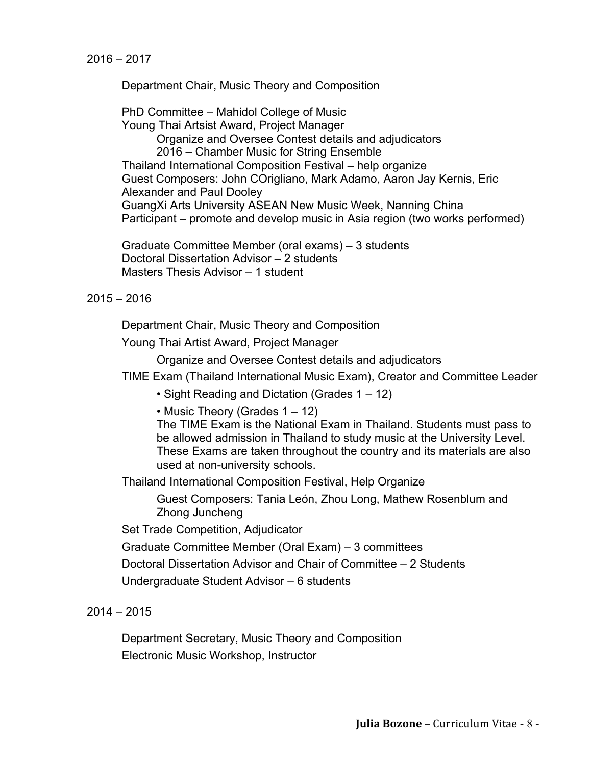Department Chair, Music Theory and Composition

PhD Committee – Mahidol College of Music Young Thai Artsist Award, Project Manager Organize and Oversee Contest details and adjudicators 2016 – Chamber Music for String Ensemble Thailand International Composition Festival – help organize Guest Composers: John COrigliano, Mark Adamo, Aaron Jay Kernis, Eric Alexander and Paul Dooley GuangXi Arts University ASEAN New Music Week, Nanning China Participant – promote and develop music in Asia region (two works performed)

Graduate Committee Member (oral exams) – 3 students Doctoral Dissertation Advisor – 2 students Masters Thesis Advisor – 1 student

#### 2015 – 2016

Department Chair, Music Theory and Composition

Young Thai Artist Award, Project Manager

Organize and Oversee Contest details and adjudicators

TIME Exam (Thailand International Music Exam), Creator and Committee Leader

• Sight Reading and Dictation (Grades 1 – 12)

• Music Theory (Grades 1 – 12)

The TIME Exam is the National Exam in Thailand. Students must pass to be allowed admission in Thailand to study music at the University Level. These Exams are taken throughout the country and its materials are also used at non-university schools.

Thailand International Composition Festival, Help Organize

Guest Composers: Tania León, Zhou Long, Mathew Rosenblum and Zhong Juncheng

Set Trade Competition, Adjudicator

Graduate Committee Member (Oral Exam) – 3 committees

Doctoral Dissertation Advisor and Chair of Committee – 2 Students

Undergraduate Student Advisor – 6 students

### 2014 – 2015

Department Secretary, Music Theory and Composition Electronic Music Workshop, Instructor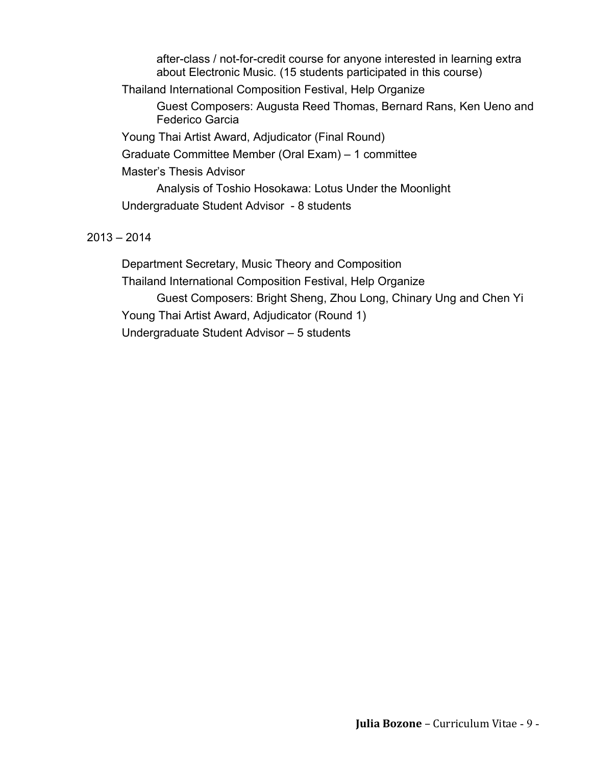after-class / not-for-credit course for anyone interested in learning extra about Electronic Music. (15 students participated in this course) Thailand International Composition Festival, Help Organize Guest Composers: Augusta Reed Thomas, Bernard Rans, Ken Ueno and Federico Garcia Young Thai Artist Award, Adjudicator (Final Round) Graduate Committee Member (Oral Exam) – 1 committee Master's Thesis Advisor Analysis of Toshio Hosokawa: Lotus Under the Moonlight Undergraduate Student Advisor - 8 students 2013 – 2014

## Department Secretary, Music Theory and Composition Thailand International Composition Festival, Help Organize Guest Composers: Bright Sheng, Zhou Long, Chinary Ung and Chen Yi Young Thai Artist Award, Adjudicator (Round 1) Undergraduate Student Advisor – 5 students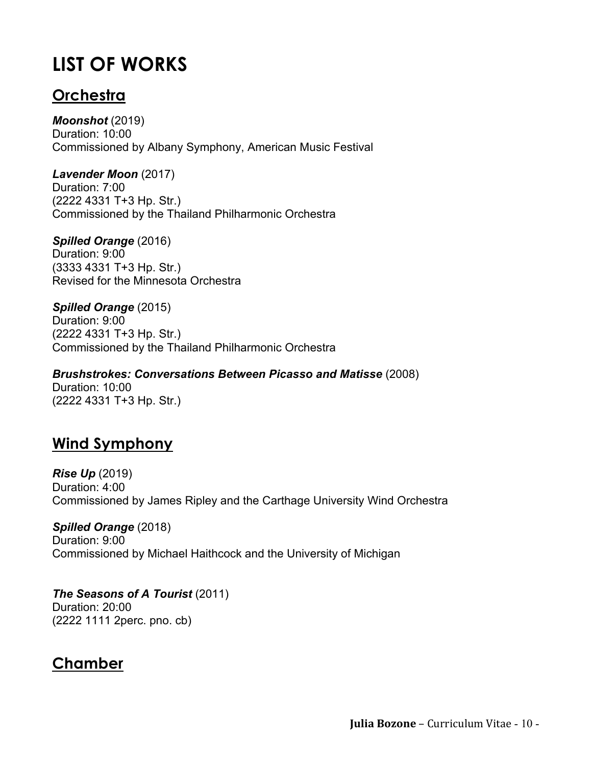# **LIST OF WORKS**

## **Orchestra**

*Moonshot* (2019) Duration: 10:00 Commissioned by Albany Symphony, American Music Festival

*Lavender Moon* (2017) Duration: 7:00 (2222 4331 T+3 Hp. Str.) Commissioned by the Thailand Philharmonic Orchestra

*Spilled Orange* (2016) Duration: 9:00 (3333 4331 T+3 Hp. Str.) Revised for the Minnesota Orchestra

*Spilled Orange* (2015) Duration: 9:00 (2222 4331 T+3 Hp. Str.) Commissioned by the Thailand Philharmonic Orchestra

*Brushstrokes: Conversations Between Picasso and Matisse* (2008) Duration: 10:00 (2222 4331 T+3 Hp. Str.)

## **Wind Symphony**

*Rise Up* (2019) Duration: 4:00 Commissioned by James Ripley and the Carthage University Wind Orchestra

*Spilled Orange* (2018) Duration: 9:00 Commissioned by Michael Haithcock and the University of Michigan

*The Seasons of A Tourist* (2011) Duration: 20:00 (2222 1111 2perc. pno. cb)

## **Chamber**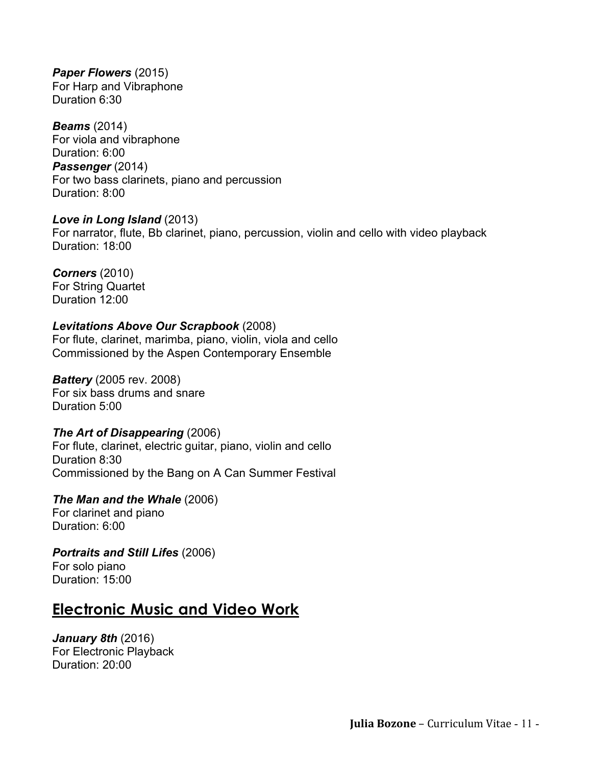*Paper Flowers* (2015) For Harp and Vibraphone Duration 6:30

*Beams* (2014) For viola and vibraphone Duration: 6:00 *Passenger* (2014) For two bass clarinets, piano and percussion Duration: 8:00

#### *Love in Long Island* (2013)

For narrator, flute, Bb clarinet, piano, percussion, violin and cello with video playback Duration: 18:00

#### *Corners* (2010)

For String Quartet Duration 12:00

#### *Levitations Above Our Scrapbook* (2008)

For flute, clarinet, marimba, piano, violin, viola and cello Commissioned by the Aspen Contemporary Ensemble

*Battery* (2005 rev. 2008) For six bass drums and snare Duration 5:00

#### *The Art of Disappearing* (2006)

For flute, clarinet, electric guitar, piano, violin and cello Duration 8:30 Commissioned by the Bang on A Can Summer Festival

*The Man and the Whale* (2006) For clarinet and piano Duration: 6:00

*Portraits and Still Lifes* (2006) For solo piano Duration: 15:00

### **Electronic Music and Video Work**

*January 8th* (2016) For Electronic Playback Duration: 20:00